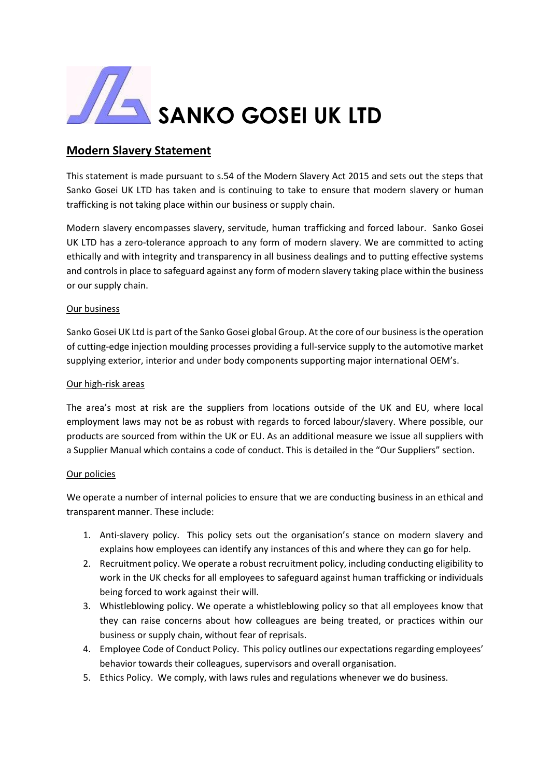

# **Modern Slavery Statement**

This statement is made pursuant to s.54 of the Modern Slavery Act 2015 and sets out the steps that Sanko Gosei UK LTD has taken and is continuing to take to ensure that modern slavery or human trafficking is not taking place within our business or supply chain.

Modern slavery encompasses slavery, servitude, human trafficking and forced labour. Sanko Gosei UK LTD has a zero-tolerance approach to any form of modern slavery. We are committed to acting ethically and with integrity and transparency in all business dealings and to putting effective systems and controls in place to safeguard against any form of modern slavery taking place within the business or our supply chain.

### Our business

Sanko Gosei UK Ltd is part of the Sanko Gosei global Group. At the core of our business is the operation of cutting-edge injection moulding processes providing a full-service supply to the automotive market supplying exterior, interior and under body components supporting major international OEM's.

### Our high-risk areas

The area's most at risk are the suppliers from locations outside of the UK and EU, where local employment laws may not be as robust with regards to forced labour/slavery. Where possible, our products are sourced from within the UK or EU. As an additional measure we issue all suppliers with a Supplier Manual which contains a code of conduct. This is detailed in the "Our Suppliers" section.

#### Our policies

We operate a number of internal policies to ensure that we are conducting business in an ethical and transparent manner. These include:

- 1. Anti-slavery policy. This policy sets out the organisation's stance on modern slavery and explains how employees can identify any instances of this and where they can go for help.
- 2. Recruitment policy. We operate a robust recruitment policy, including conducting eligibility to work in the UK checks for all employees to safeguard against human trafficking or individuals being forced to work against their will.
- 3. Whistleblowing policy. We operate a whistleblowing policy so that all employees know that they can raise concerns about how colleagues are being treated, or practices within our business or supply chain, without fear of reprisals.
- 4. Employee Code of Conduct Policy. This policy outlines our expectations regarding employees' behavior towards their colleagues, supervisors and overall organisation.
- 5. Ethics Policy. We comply, with laws rules and regulations whenever we do business.